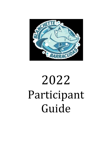

# 2022 Participant Guide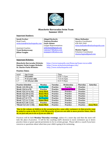

### **Blanchette Barracudas Swim Team Summer 2022**

#### **Important Numbers:**

| <b>Sarah Frerker</b>         | <b>Abigail Beckerle</b> | <b>Missy Hollander</b>             |  |  |
|------------------------------|-------------------------|------------------------------------|--|--|
| Head Coach                   | Vanezza Brasher         | <b>Aquatics Coordinator</b>        |  |  |
| swim.team@stcharlesparks.com | <b>Gayle Adams</b>      | 636-949-3369                       |  |  |
|                              | League Representatives  | missy.hollander@stcharlesparks.com |  |  |
| <b>Assistant Coaches</b>     | acbeckerle@gmail.com    |                                    |  |  |
| <b>Trent Beskorovany</b>     | vanezza77@vahoo.com     | Shanna Fugina                      |  |  |
| <b>Jillian Vaughn</b>        | popuppro1@yahoo.com     | Volunteer Coordinator              |  |  |
|                              |                         | shanna.fugina@gmail.com            |  |  |
|                              |                         |                                    |  |  |

#### **Important Websites:**

**St. Charles Parks Website:** [http://www.stcharlesparks.com](http://www.stcharlesparks.com/)

**Blanchette Barracudas Website**: <https://www.teamunify.com/Home.jsp?team=recsccsslbb> **Summer Swim League Website:** <https://www.stcharlesswimleague.com/>

#### **Practice Times**:

| <u>Level</u> | Age Group:      | Time             |
|--------------|-----------------|------------------|
| $1 - 2$      | 8 & under       | $6:30 - 7:15$ pm |
| $3 - 5$      | 9-12 year olds  | $7:15-8:15$ pm   |
| $6 - 7$      | 13-18 year olds | $8:15-9:30$ pm   |

| <b>Practice Schedule</b> | <b>Monday</b>      | Tuesday         | Wednesday              | <b>Thursday</b> | <b>Saturday</b>  |
|--------------------------|--------------------|-----------------|------------------------|-----------------|------------------|
| Week 1 (5/30-6/2)        | <b>No Practice</b> | Practice        | <b>Practice</b>        | Practice        |                  |
| Week 2 (6/6-6/9)         | <b>Practice</b>    | <b>Practice</b> | <b>Intersquad Meet</b> | <b>Practice</b> | ٠                |
| Week 3 (6/13-6/16)       | <b>Away Meet</b>   | <b>Practice</b> | <b>Practice</b>        | <b>Practice</b> |                  |
| Week 4 (6/20-6/23)       | <b>Home Meet</b>   | <b>Practice</b> | <b>Practice</b>        | <b>Practice</b> |                  |
| Week 5 (6/27-6/30)       | <b>Away Meet</b>   | <b>Practice</b> | <b>Practice</b>        | <b>Practice</b> | ٠                |
| Week 6 (7/4-7/7)         | <b>No Practice</b> | <b>Practice</b> | <b>Practice</b>        | <b>Practice</b> |                  |
| Week 7 (7/11-7/14)       | <b>Home Meet</b>   | <b>Practice</b> | <b>Practice</b>        | <b>Practice</b> | ٠                |
| Week 8 (7/18-7/21)       | <b>Practice</b>    | <b>Practice</b> | <b>Practice</b>        | <b>Practice</b> | ٠                |
| *Week 9 (7/25-7/30)      | <b>Home Meet</b>   | <b>Practice</b> | <b>Practice</b>        | <b>Practice</b> | <b>Away Meet</b> |

*\*Due to the volume of children in the second practice, some older swimmers in that practice may be asked to swim in the 8:15-9:30 PM practice. If you are not able to move practice times, that is ok, we just ask you to do so if you are able to.\**

Practices will be held **Monday-Thursday evenings,** unless it's a meet day and then the meet will take the place of practice. It will be the coaching staff's decision to move swimmers up or down practice times or grant special permission to be in certain groups. Please talk to a coach if you have concerns or questions about what time your child is going to be swimming.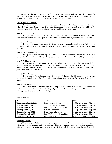Our program will be structured into 7 different levels this season and each level has criteria for placement. Age will be determined for the season as of *May 31st, 2022* and groups will be assigned during the first week of practice, with primary placement on skill level.

#### Level 1, Yellow Barracudas

This group is for beginner swimmers ages 6 & under-8 that have not been on the team before, but can swim at least 25 yards of freestyle unassisted. Practices for this group will be 100% instruction and time will be spent refining freestyle and learning backstroke.

#### Level 2, Orange Barracudas

This group is for swimmers ages 6 & under-8 that have swam competitively before. These swimmers are proficient in freestyle and backstroke and will be learning breaststroke and butterfly.

#### Level 3, Blue Barracudas

This group is for swimmers ages 9-12 that are new to competitive swimming. Swimmers in this group will learn freestyle and backstroke, as well as an introduction to breaststroke and butterfly.

#### Level 4, Green Barracudas

This group is for swimmers ages 9-12 who have swam competitively before and can swim all four strokes legally. Time will be spent improving strokes and turns as well as building endurance.

#### Level 5, Red Barracudas

This group is for swimmers ages 9-12 who have swam competitively, can swim all four strokes legally, and are looking for more of a challenge. Practice emphasis will be on building endurance and refining strokes. Younger or older swimmers may attend this group with special permission from the Head Coach.

#### Level 6, Silver Barracudas

This group is for swimmers ages 13 and up. Swimmers in this group should have an understanding of all four strokes. Time will be spent improving strokes and turns as well as building endurance.

#### Level 7, Gold Barracudas

This group is for swimmers ages 13 and up that have swam competitively before and are proficient in all four strokes. This is the highest group and offers a challenge to our older swimmers, with opportunities to refine stroke techniques.

| Date                         | Location                          | <b>Time</b>                     |  |
|------------------------------|-----------------------------------|---------------------------------|--|
| Wednesday, June 8, 2022      | Home Intersquad Meet              | $6:00p$ warm-ups, $6:30p$ start |  |
| <b>Monday, June 13, 2022</b> | Twin Chimneys Tidal Waves         | 5:00p warm-ups, 5:30p start     |  |
| <b>Monday, June 20, 2022</b> | Home Vs. Monticello Killer Whales | 5:30p warm-ups, 6:00p start     |  |
| <b>Monday, June 27, 2022</b> | O'Fallon Torpedoes                | 5:30p warm-ups, 6:00p start     |  |
| <b>Monday, July 11, 2022</b> | Home Vs. Lake St. Louis           | 5:30p warm-ups, 6:00p start     |  |
| <b>Monday, July 25, 2022</b> | Home Vs. Laurel Park Dolphins     | 5:30p warm-ups, 6:00p start     |  |
| Saturday, July 30, 2022      | <b>Wentzville Sea Dragons</b>     | 6:30a warm-ups, 7:00a start     |  |

#### **Meet Schedule:**

#### **Meet Attendance**

It is highly encouraged that all swimmers participate in all meets. Each swimmer must have a parent volunteer at every meet as well. It is understood that a swimmer may have to miss a meet due to prior commitments or unforeseen circumstances; it is asked that you contact the coach and the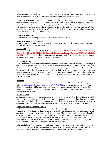volunteer coordinator at least 24 hours prior to the start of the meet or as soon as you know you or your swimmer will not be at the meet so the required adjustments may be made.

Relays and individual events will be determined by sign up through the Team Unify website. Swimmers and parents are asked to sign up for which meets they will be attending and decline which meets they will not be attending. The sign up will close the Thursday before the meet and entries will be emailed out over the weekend. If you miss the deadline, please email the coach ASAP. Relay swims can only be guaranteed to those who sign up for each meet. Instructions for how to sign up for meets can be found later in this handbook.

#### **Practice Attendance**

All swimmers are encouraged to attend practices as often as possible.

#### **Items to bring/wear to practice**

Swim suit, towel, swim cap, goggles, pool deck shoes, and water bottle. Practice equipment such as kickboards and fins will be provided.

#### **Team Suits**

Team suits will be available at B & B Aquatics in Chesterfield. **Team fitting date will be Sunday, May 1st, 2022 from 10-5 PM at the Chesterfield location. Female Suits are \$36.75 & Male Suits are \$31.50.** Team suits are **highly encouraged but optional.** Any suit may be worn at practice; girls must wear a one piece suit for practices and meets.

#### **Swimming Ability**

Every swimmer must be able to independently move themselves forward, unassisted, one length of the pool or 25 yards. The purpose of a swim team is to refine strokes and techniques, to become a stronger swimmer and to participate in friendly competition against other teams. It is not to learn how to swim. The Head Coach reserves the right to limit participation based on ability. In the event your swimmer is unable to satisfy this requirement, your registration fee may be used towards swim lessons or it may be placed on your household as a credit to be used towards any Parks Program, Facility Rental, etc.

#### **Weather**

If the weather is questionable please call the Rainout Line at 636.944.6001 ext. 17. You may also visit online a[t http://rainoutline.com/search/dnis/6369446001](http://rainoutline.com/search/dnis/6369446001) or download the free Rainout Line App. Meets and practices will be held whenever the weather permits. Cancellations will occur if there is heavy rain, thunder or lightning. We will also attempt to send out an email to communicate any weather updates as well.

#### **Parent Support**

As a parent we ask that you be encouraging to your swimmer. At practice the coaching staff will be working with all swimmers to teach proper swim stroke technique. It is asked that parents refrain from "coaching" their children and remain off the deck during practices. We encourage parents to communicate directly with the coaches before or after practice to discuss any specific issues.

#### **Additional Parent Responsibilities:**

Each family is required to provide one person to volunteer for  $\frac{1}{2}$  of a meet at all swim meets during the season, or 3 whole meets, if that is easier. It takes a tremendous amount of energy to run a meet and if everyone contributes the meets will run smoothly. The volunteer assignments are scheduled on a first come basis. Every effort will be made to honor a volunteer's job preference. If you have any issues please contact our league representatives, they will assist you with any questions you might have. Sign-ups will be on the Team Unify website, which makes it easier for everyone to sign-up at their convenience. The various volunteer jobs are listed below.

1. **Stroke Judges** – For every swim meet 8 total stroke judges are assigned (4 per half, 2 per team). These individuals watch the swimmers to determine if they are swimming each swim stroke within regulation. This position requires attending a stroke judge clinic to be certified. Information for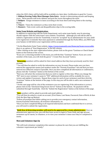when the 2022 clinics will be held will be available at a later date. Certification is good for 3 years. 2. **Ribbon/Scoring Table/Meet Manager Data Entry** - Assists in determining awards and keeping score. These parents will write ribbons and post the scores throughout the meet.

3. **Bullpen** - Assign swimmers to lanes according to the heat sheet and bring them to the starting blocks.

4. **Timers** - Times the swimmers as they swim their events.

5. **Runners** - Take event cards and disqualification slips to the scoring table.

#### **Swim Team Website and Registration:**

In addition to registering with the Parks Department, each swim team family, new & returning, should register with the swim team's own website, TeamUnify. Although you will still be able to submit a registration on-line for TeamUnify, it must be "accepted" by an administrator for your child to be registered. A reminder that since payment is submitted through the Parks Office, you MUST pay your balance in full before your registration will be accepted.

\* On the Blanchette Swim Team website[, https://www.teamunify.com/Home.jsp?team=recsccsslbb,](https://www.teamunify.com/Home.jsp?team=recsccsslbb) there is an option of "Start Registration" in the left column.

\* After clicking on the start registration button, please click on the green "Continue or Check Status" button at the bottom of the screen.

\*If you are a returning member to the team, you will the blue "Continue" button. If you are a new member of the team, you will click the green "+ Create New Account" button.

\***Returning** members will be asked for their email address that they have previously used for their account.

\* You will then be asked to verify the information on your Account. Please make sure you have entered the appropriate names and numbers under the "Parents/Guardians" tab and that you have entered two different contacts if possible. Once you have completed all information or confirmed it, please click the "Continue" button at the bottom of the screen.

\*Next you will select the swimmer(s) that you wish to register at this time. When you change the "NO" next to your swimmer's name to "YES" additional information will be available for you to review and update if necessary. Repeat these steps for each of your swimmers and then click the "Continue" button at the bottom of the page. In this step you will be able to add a new swimmer if needed.

\* On the next page will be a list of the swimmers you are registering. If the information is correct, please click on the "Checkout Using Secure Server" button at the bottom. No payment will be submitted through TeamUnify. Click the "Submit the Registration" button at the bottom of the page.

\***New** members will be asked to provide and email address.

\*You will then be asked to create an account. (First Name, Last Name, Password, Date of Birth, & then Click the blue Sign up Button)

\*Follow all prompts that follow asking you to provide your emergency contact information, Parent/Guardian Information, all swimmer information, etc.

\*Once you have completed filling in all required information and have confirmed that it is correct, you will need to submit the registration.

\***Both New & Returning member will need to be approved by a team administrator.** Once an administrator approves you, you will then have access to login to Team Unify and sign up your swimmers up for meets, to volunteer, or to view your swimmer's times once they've competed in meets.

#### **Meet and Volunteer Sign-Up**

\*We will track volunteer completion this summer so please be sure that you are fulfilling the volunteer requirement per family.\*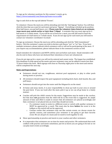To sign up for volunteer positions for this summer's meets, go to, <https://www.teamunify.com/Home.jsp?team=recsccsslbb>

Sign in and click on the top tab labeled "Events".

To volunteer: Choose the meet you will be attending and click the "Job Signup" button. You will then click the slots that you want for each meet and press "Signup". Everything is divided up by position (first half timers, second half timers, etc.) **Please note the volunteer times listed are an estimate, some meets may switch earlier or later than 7:30pm!** A reminder that you must sign up for 6 half meets or 3 whole meets. If you will be out of town for a meet, you will still need to meet the requirement of 6 half meets or 3 whole meets. If you do not sign up for each meet you will need to contact our volunteer coordinator via email.

To sign up swimmers: Choose the meet you will be attending and click the "Edit Commitment" button. Click the swimmer's name you wish to declare and choose "yes" or "no" box. If you have multiple swimmers, please indicate which swimmers will or will not be participating in the meet. If you require any accommodations, please indicate those in the comments section as well.

Email reminders for volunteers and RSVPs will be sent out before each meet. Email reminders will also be sent to those who have not declared their intentions or have not volunteered.

If you do not sign up for a meet, you will not be entered and cannot swim. The league has established firm deadlines to help speed up the meets and new swimmers may not be added to meets less than 72 hours before the meet. Meet signups will close on Thursday night prior to the meet and entries will be completed the next day.

#### **Rules and Expectations:**

- Swimmers should not run, roughhouse, mistreat pool equipment, or play in other pools during meets or practice.
- All swimmers should respect the pool equipment including deck chairs, kick boards, fins, and pull buoys.
- Swimmers should not get into the water until the lifeguard is on the stand.
- At home and away meets, it is your responsibility to clean up trash in your area or around the pool deck. If you see trash after the meet, pick it up so we can all go home in a timely manner.
- Coaches will pick the child's events for the meets. Suggestions may be made to the coaches, but that does **not** guarantee that the child will be in the event that is suggested. An ample amount of time and effort is made to ensure that all swimmers are placed accordingly and that a swimmer is not placed into an event they should not swim.
	- $\circ$  If a swimmer wants to swim in a different event or switch with another swimmer it MUST be approved by a coach. This must also be done **before** the event is in the bullpen or the switch will not be approved.
	- o Coaches realize that swimmers may not like certain events, we choose events for specific reasons, and sometimes your swimmer is not going to get their favorite event. We are all part of a team and we need to work together to win.
- Show sportsmanship at practice and meets to your coaches and other swimmers.
- It is imperative that swimmers are on time for meets and practice. We understand that work conflicts with practice and meets sometimes, just let us know you are going to be late so we can plan meet events accordingly.